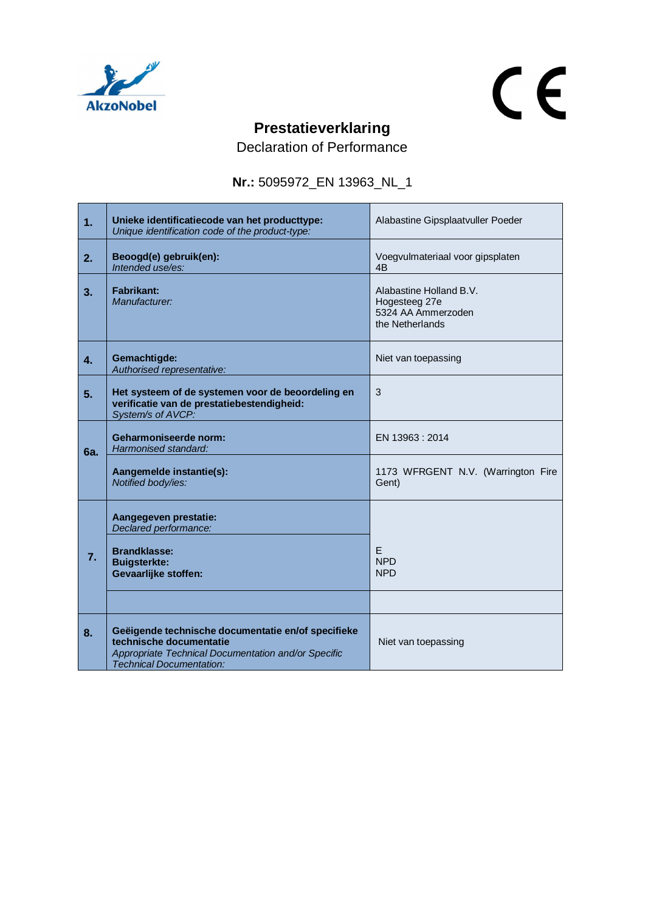

 $\overline{\phantom{a}}$ 

## $C<sub>f</sub>$

÷.

## **Prestatieverklaring**

Declaration of Performance

**Nr.:** 5095972\_EN 13963\_NL\_1

| 1.             | Unieke identificatiecode van het producttype:<br>Unique identification code of the product-type:                                                                        | Alabastine Gipsplaatvuller Poeder                                                 |
|----------------|-------------------------------------------------------------------------------------------------------------------------------------------------------------------------|-----------------------------------------------------------------------------------|
| 2.             | Beoogd(e) gebruik(en):<br>Intended use/es:                                                                                                                              | Voegvulmateriaal voor gipsplaten<br>4B                                            |
| 3 <sub>1</sub> | Fabrikant:<br>Manufacturer:                                                                                                                                             | Alabastine Holland B.V.<br>Hogesteeg 27e<br>5324 AA Ammerzoden<br>the Netherlands |
| 4.             | Gemachtigde:<br>Authorised representative:                                                                                                                              | Niet van toepassing                                                               |
| 5.             | Het systeem of de systemen voor de beoordeling en<br>verificatie van de prestatiebestendigheid:<br>System/s of AVCP:                                                    | 3                                                                                 |
| 6а.            | Geharmoniseerde norm:<br>Harmonised standard:                                                                                                                           | EN 13963 : 2014                                                                   |
|                | Aangemelde instantie(s):<br>Notified body/ies:                                                                                                                          | 1173 WFRGENT N.V. (Warrington Fire<br>Gent)                                       |
|                | Aangegeven prestatie:<br>Declared performance:                                                                                                                          |                                                                                   |
| 7.             | <b>Brandklasse:</b><br><b>Buigsterkte:</b><br><b>Gevaarlijke stoffen:</b>                                                                                               | E<br><b>NPD</b><br><b>NPD</b>                                                     |
|                |                                                                                                                                                                         |                                                                                   |
| 8.             | Geëigende technische documentatie en/of specifieke<br>technische documentatie<br>Appropriate Technical Documentation and/or Specific<br><b>Technical Documentation:</b> | Niet van toepassing                                                               |